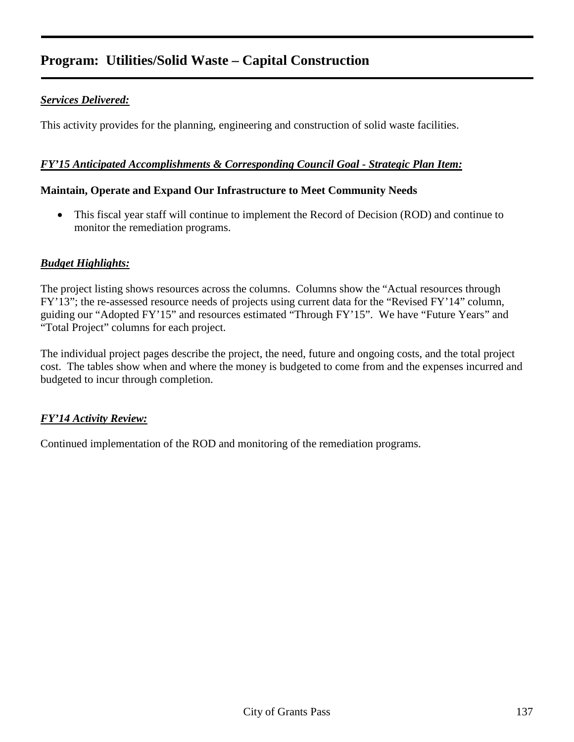#### *Services Delivered:*

This activity provides for the planning, engineering and construction of solid waste facilities.

#### *FY'15 Anticipated Accomplishments & Corresponding Council Goal - Strategic Plan Item:*

#### **Maintain, Operate and Expand Our Infrastructure to Meet Community Needs**

• This fiscal year staff will continue to implement the Record of Decision (ROD) and continue to monitor the remediation programs.

#### *Budget Highlights:*

The project listing shows resources across the columns. Columns show the "Actual resources through FY'13"; the re-assessed resource needs of projects using current data for the "Revised FY'14" column, guiding our "Adopted FY'15" and resources estimated "Through FY'15". We have "Future Years" and "Total Project" columns for each project.

The individual project pages describe the project, the need, future and ongoing costs, and the total project cost. The tables show when and where the money is budgeted to come from and the expenses incurred and budgeted to incur through completion.

#### *FY'14 Activity Review:*

Continued implementation of the ROD and monitoring of the remediation programs.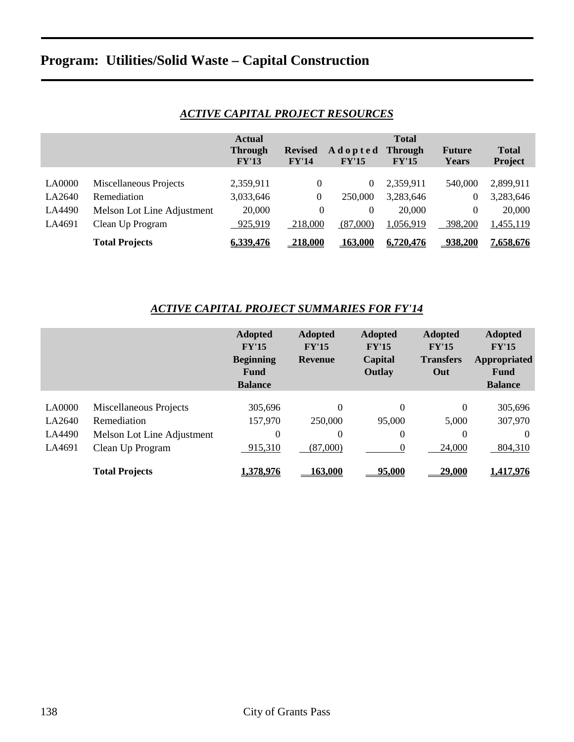|               |                            | <b>Actual</b><br><b>Through</b><br>FY'13 | <b>Revised</b><br>FY'14 | Adopted<br>FY'15 | <b>Total</b><br><b>Through</b><br>FY'15 | <b>Future</b><br><b>Years</b> | <b>Total</b><br>Project |
|---------------|----------------------------|------------------------------------------|-------------------------|------------------|-----------------------------------------|-------------------------------|-------------------------|
| <b>LA0000</b> | Miscellaneous Projects     | 2,359,911                                | $\overline{0}$          | 0                | 2,359,911                               | 540,000                       | 2,899,911               |
| LA2640        | Remediation                | 3,033,646                                | 0                       | 250,000          | 3,283,646                               | 0                             | 3,283,646               |
| LA4490        | Melson Lot Line Adjustment | 20,000                                   | $\Omega$                | 0                | 20,000                                  | $\Omega$                      | 20,000                  |
| LA4691        | Clean Up Program           | 925,919                                  | 218,000                 | (87,000)         | 1,056,919                               | 398,200                       | 1,455,119               |
|               |                            |                                          |                         |                  |                                         |                               |                         |
|               | <b>Total Projects</b>      | 6.339.476                                | <b>218.000</b>          | 163,000          | 6.720.476                               | 938.200                       | 7.658.676               |

### *ACTIVE CAPITAL PROJECT RESOURCES*

#### *ACTIVE CAPITAL PROJECT SUMMARIES FOR FY'14*

|               |                            | <b>Adopted</b><br>FY'15<br><b>Beginning</b><br><b>Fund</b><br><b>Balance</b> | <b>Adopted</b><br>FY'15<br><b>Revenue</b> | <b>Adopted</b><br>FY'15<br>Capital<br>Outlay | <b>Adopted</b><br>FY'15<br><b>Transfers</b><br>Out | <b>Adopted</b><br>FY'15<br>Appropriated<br>Fund<br><b>Balance</b> |
|---------------|----------------------------|------------------------------------------------------------------------------|-------------------------------------------|----------------------------------------------|----------------------------------------------------|-------------------------------------------------------------------|
| <b>LA0000</b> | Miscellaneous Projects     | 305,696                                                                      | $\theta$                                  | $\theta$                                     | $\theta$                                           | 305,696                                                           |
| LA2640        | Remediation                | 157,970                                                                      | 250,000                                   | 95,000                                       | 5,000                                              | 307,970                                                           |
| LA4490        | Melson Lot Line Adjustment | $\theta$                                                                     | $\Omega$                                  | $\Omega$                                     | $\theta$                                           | $\theta$                                                          |
| LA4691        | Clean Up Program           | 915,310                                                                      | (87,000)                                  |                                              | 24,000                                             | 804,310                                                           |
|               | <b>Total Projects</b>      | 1,378,976                                                                    | 163,000                                   | 95,000                                       | 29,000                                             | 1,417,976                                                         |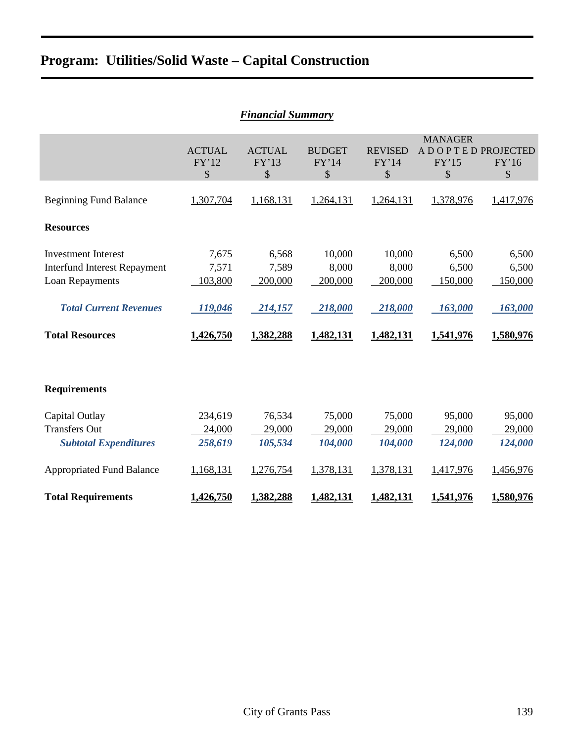|                                                                                                                                                 | <b>Financial Summary</b>                          |                                                   |                                                    |                                                    |                                                          |                                                   |  |  |  |  |  |  |  |  |
|-------------------------------------------------------------------------------------------------------------------------------------------------|---------------------------------------------------|---------------------------------------------------|----------------------------------------------------|----------------------------------------------------|----------------------------------------------------------|---------------------------------------------------|--|--|--|--|--|--|--|--|
|                                                                                                                                                 | <b>ACTUAL</b><br>FY'12<br>\$                      | <b>ACTUAL</b><br>FY'13<br>\$                      | <b>BUDGET</b><br>FY'14<br>\$                       | <b>REVISED</b><br>FY'14<br>\$                      | <b>MANAGER</b><br>A D O P T E D PROJECTED<br>FY'15<br>\$ | FY'16<br>\$                                       |  |  |  |  |  |  |  |  |
| <b>Beginning Fund Balance</b>                                                                                                                   | 1,307,704                                         | 1,168,131                                         | 1,264,131                                          | 1,264,131                                          | 1,378,976                                                | 1,417,976                                         |  |  |  |  |  |  |  |  |
| <b>Resources</b>                                                                                                                                |                                                   |                                                   |                                                    |                                                    |                                                          |                                                   |  |  |  |  |  |  |  |  |
| <b>Investment Interest</b><br><b>Interfund Interest Repayment</b><br>Loan Repayments<br><b>Total Current Revenues</b><br><b>Total Resources</b> | 7,675<br>7,571<br>103,800<br>119,046<br>1,426,750 | 6,568<br>7,589<br>200,000<br>214,157<br>1,382,288 | 10,000<br>8,000<br>200,000<br>218,000<br>1,482,131 | 10,000<br>8,000<br>200,000<br>218,000<br>1,482,131 | 6,500<br>6,500<br>150,000<br>163,000<br>1,541,976        | 6,500<br>6,500<br>150,000<br>163,000<br>1,580,976 |  |  |  |  |  |  |  |  |
| <b>Requirements</b>                                                                                                                             |                                                   |                                                   |                                                    |                                                    |                                                          |                                                   |  |  |  |  |  |  |  |  |
| Capital Outlay<br><b>Transfers Out</b><br><b>Subtotal Expenditures</b>                                                                          | 234,619<br>24,000<br>258,619                      | 76,534<br>29,000<br>105,534                       | 75,000<br>29,000<br>104,000                        | 75,000<br>29,000<br>104,000                        | 95,000<br>29,000<br>124,000                              | 95,000<br>29,000<br>124,000                       |  |  |  |  |  |  |  |  |
| <b>Appropriated Fund Balance</b>                                                                                                                | 1,168,131                                         | 1,276,754                                         | 1,378,131                                          | 1,378,131                                          | 1,417,976                                                | 1,456,976                                         |  |  |  |  |  |  |  |  |
| <b>Total Requirements</b>                                                                                                                       | 1,426,750                                         | 1,382,288                                         | 1,482,131                                          | 1,482,131                                          | 1,541,976                                                | 1,580,976                                         |  |  |  |  |  |  |  |  |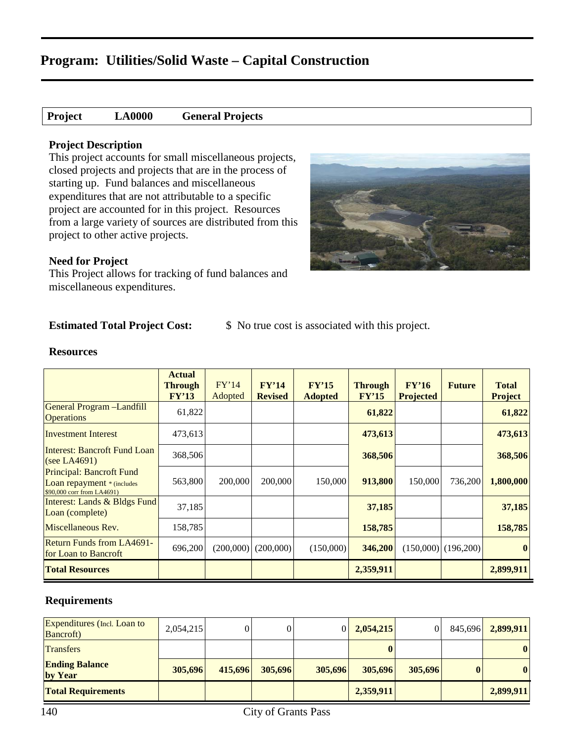| <b>Project</b> | <b>LA0000</b> | <b>General Projects</b> |
|----------------|---------------|-------------------------|
|----------------|---------------|-------------------------|

#### **Project Description**

This project accounts for small miscellaneous projects, closed projects and projects that are in the process of starting up. Fund balances and miscellaneous expenditures that are not attributable to a specific project are accounted for in this project. Resources from a large variety of sources are distributed from this project to other active projects.

#### **Need for Project**

This Project allows for tracking of fund balances and miscellaneous expenditures.

**Estimated Total Project Cost:**  $\qquad$  \$ No true cost is associated with this project.

#### **Resources**

|                                                                                             | <b>Actual</b><br><b>Through</b><br>FY'13 | FY'14<br>Adopted | FY'14<br><b>Revised</b> | FY'15<br><b>Adopted</b> | <b>Through</b><br>FY'15 | FY'16<br><b>Projected</b> | <b>Future</b>         | <b>Total</b><br><b>Project</b> |
|---------------------------------------------------------------------------------------------|------------------------------------------|------------------|-------------------------|-------------------------|-------------------------|---------------------------|-----------------------|--------------------------------|
| General Program -Landfill<br><b>Operations</b>                                              | 61,822                                   |                  |                         |                         | 61,822                  |                           |                       | 61,822                         |
| <b>Investment Interest</b>                                                                  | 473,613                                  |                  |                         |                         | 473,613                 |                           |                       | 473,613                        |
| Interest: Bancroft Fund Loan<br>(see LA4691)                                                | 368,506                                  |                  |                         |                         | 368,506                 |                           |                       | 368,506                        |
| Principal: Bancroft Fund<br><b>Loan repayment</b> * (includes<br>\$90,000 corr from LA4691) | 563,800                                  | 200,000          | 200,000                 | 150,000                 | 913,800                 | 150,000                   | 736,200               | 1,800,000                      |
| Interest: Lands & Bldgs Fund<br>Loan (complete)                                             | 37,185                                   |                  |                         |                         | 37,185                  |                           |                       | 37,185                         |
| Miscellaneous Rev.                                                                          | 158,785                                  |                  |                         |                         | 158,785                 |                           |                       | 158,785                        |
| <b>Return Funds from LA4691-</b><br><b>for Loan to Bancroft</b>                             | 696,200                                  |                  | $(200,000)$ $(200,000)$ | (150,000)               | 346,200                 |                           | $(150,000)$ (196,200) | $\vert 0 \vert$                |
| <b>Total Resources</b>                                                                      |                                          |                  |                         |                         | 2,359,911               |                           |                       | 2,899,911                      |

| <b>Expenditures</b> (Incl. Loan to<br><b>Bancroft</b> ) | 2,054,215 | 0       |         | $\overline{0}$ | 2,054,215 | 0       | 845,696      | 2,899,911    |
|---------------------------------------------------------|-----------|---------|---------|----------------|-----------|---------|--------------|--------------|
| <b>Transfers</b>                                        |           |         |         |                |           |         |              | $\bf{0}$     |
| <b>Ending Balance</b><br>by Year                        | 305,696   | 415,696 | 305.696 | 305,696        | 305,696   | 305,696 | $\mathbf{0}$ | $\mathbf{0}$ |
| <b>Total Requirements</b>                               |           |         |         |                | 2,359,911 |         |              | 2,899,911    |

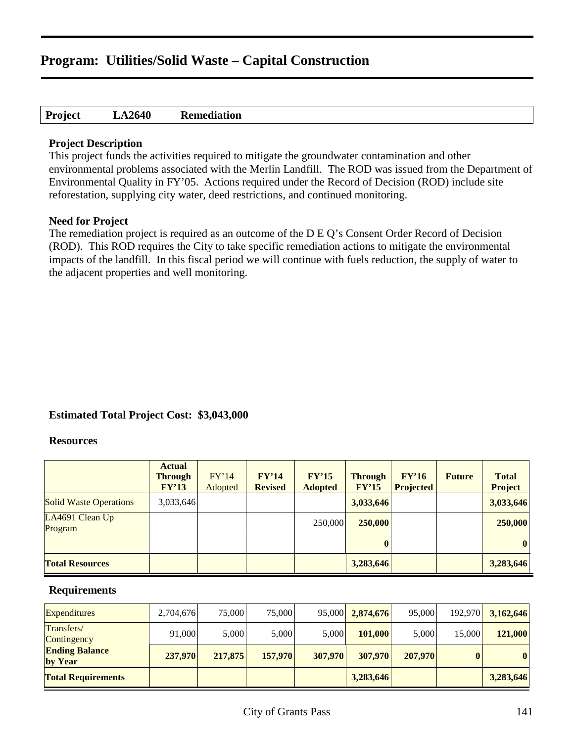#### **Project LA2640 Remediation**

#### **Project Description**

This project funds the activities required to mitigate the groundwater contamination and other environmental problems associated with the Merlin Landfill. The ROD was issued from the Department of Environmental Quality in FY'05. Actions required under the Record of Decision (ROD) include site reforestation, supplying city water, deed restrictions, and continued monitoring.

#### **Need for Project**

The remediation project is required as an outcome of the D E Q's Consent Order Record of Decision (ROD). This ROD requires the City to take specific remediation actions to mitigate the environmental impacts of the landfill. In this fiscal period we will continue with fuels reduction, the supply of water to the adjacent properties and well monitoring.

#### **Estimated Total Project Cost: \$3,043,000**

#### **Resources**

|                               | <b>Actual</b><br><b>Through</b><br>FY'13 | FY'14<br>Adopted | FY'14<br><b>Revised</b> | FY'15<br><b>Adopted</b> | <b>Through</b><br>FY'15 | FY'16<br><b>Projected</b> | <b>Future</b> | <b>Total</b><br><b>Project</b> |
|-------------------------------|------------------------------------------|------------------|-------------------------|-------------------------|-------------------------|---------------------------|---------------|--------------------------------|
| <b>Solid Waste Operations</b> | 3,033,646                                |                  |                         |                         | 3,033,646               |                           |               | 3,033,646                      |
| LA4691 Clean Up<br>Program    |                                          |                  |                         | 250,000                 | 250,000                 |                           |               | 250,000                        |
|                               |                                          |                  |                         |                         | $\boldsymbol{0}$        |                           |               | 0                              |
| <b>Total Resources</b>        |                                          |                  |                         |                         | 3,283,646               |                           |               | 3,283,646                      |

| <b>Expenditures</b>              | 2,704,676 | 75,000  | 75,000  |         | 95,000 2,874,676 | 95,000  | 192,970 | 3,162,646 |
|----------------------------------|-----------|---------|---------|---------|------------------|---------|---------|-----------|
| Transfers/<br>Contingency        | 91,000    | 5.000   | 5,000   | 5,000   | 101,000          | 5,000   | 15,000  | 121,000   |
| <b>Ending Balance</b><br>by Year | 237,970   | 217,875 | 157,970 | 307,970 | 307,970          | 207,970 |         | 0         |
| <b>Total Requirements</b>        |           |         |         |         | 3,283,646        |         |         | 3,283,646 |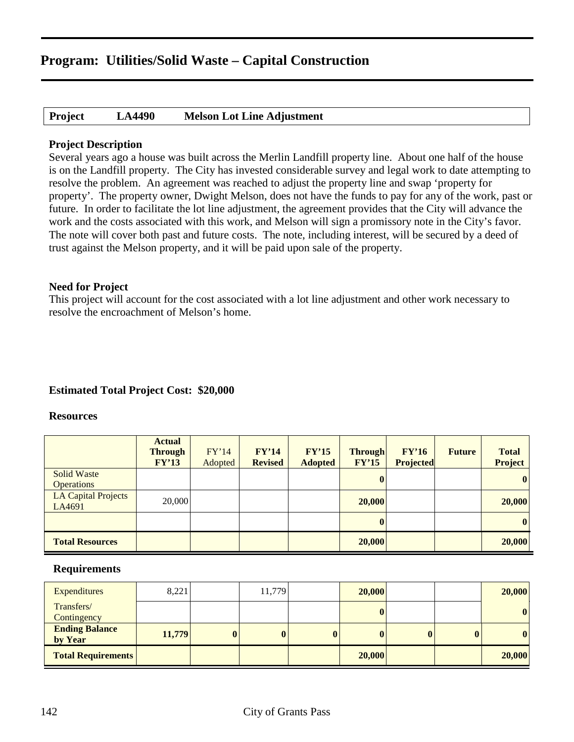| Project | <b>LA4490</b> | <b>Melson Lot Line Adjustment</b> |
|---------|---------------|-----------------------------------|
|---------|---------------|-----------------------------------|

#### **Project Description**

Several years ago a house was built across the Merlin Landfill property line. About one half of the house is on the Landfill property. The City has invested considerable survey and legal work to date attempting to resolve the problem. An agreement was reached to adjust the property line and swap 'property for property'. The property owner, Dwight Melson, does not have the funds to pay for any of the work, past or future. In order to facilitate the lot line adjustment, the agreement provides that the City will advance the work and the costs associated with this work, and Melson will sign a promissory note in the City's favor. The note will cover both past and future costs. The note, including interest, will be secured by a deed of trust against the Melson property, and it will be paid upon sale of the property.

#### **Need for Project**

This project will account for the cost associated with a lot line adjustment and other work necessary to resolve the encroachment of Melson's home.

#### **Estimated Total Project Cost: \$20,000**

#### **Resources**

|                                      | <b>Actual</b><br><b>Through</b><br>FY'13 | FY'14<br>Adopted | FY'14<br><b>Revised</b> | FY'15<br><b>Adopted</b> | <b>Through</b><br>FY'15 | FY'16<br><b>Projected</b> | <b>Future</b> | <b>Total</b><br><b>Project</b> |
|--------------------------------------|------------------------------------------|------------------|-------------------------|-------------------------|-------------------------|---------------------------|---------------|--------------------------------|
| <b>Solid Waste</b>                   |                                          |                  |                         |                         | $\bf{0}$                |                           |               | $\bf{0}$                       |
| <b>Operations</b>                    |                                          |                  |                         |                         |                         |                           |               |                                |
| <b>LA Capital Projects</b><br>LA4691 | 20,000                                   |                  |                         |                         | 20,000                  |                           |               | 20,000                         |
|                                      |                                          |                  |                         |                         | $\bf{0}$                |                           |               | 0                              |
| <b>Total Resources</b>               |                                          |                  |                         |                         | 20,000                  |                           |               | 20,000                         |

| <b>Expenditures</b>              | 8,221  |              | 11,779       | 20,000       |          |             | 20,000           |
|----------------------------------|--------|--------------|--------------|--------------|----------|-------------|------------------|
| Transfers/<br>Contingency        |        |              |              | $\bf{0}$     |          |             | $\boldsymbol{0}$ |
| <b>Ending Balance</b><br>by Year | 11,779 | $\mathbf{0}$ | $\mathbf{0}$ | $\mathbf{0}$ | $\bf{0}$ | $\mathbf 0$ | $\bf{0}$         |
| <b>Total Requirements</b>        |        |              |              | 20,000       |          |             | 20,000           |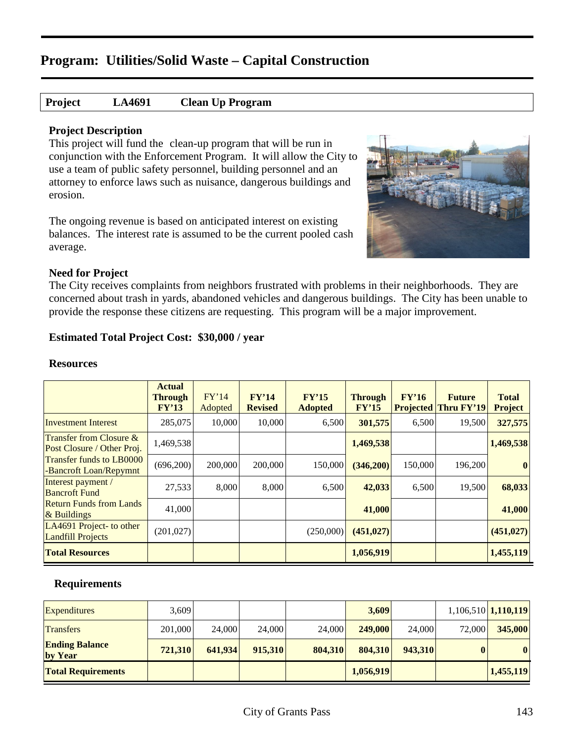#### **Project LA4691 Clean Up Program**

#### **Project Description**

This project will fund the clean-up program that will be run in conjunction with the Enforcement Program. It will allow the City to use a team of public safety personnel, building personnel and an attorney to enforce laws such as nuisance, dangerous buildings and erosion.

The ongoing revenue is based on anticipated interest on existing balances. The interest rate is assumed to be the current pooled cash average.



#### **Need for Project**

The City receives complaints from neighbors frustrated with problems in their neighborhoods. They are concerned about trash in yards, abandoned vehicles and dangerous buildings. The City has been unable to provide the response these citizens are requesting. This program will be a major improvement.

#### **Estimated Total Project Cost: \$30,000 / year**

#### **Resources**

|                                                           | <b>Actual</b><br><b>Through</b><br>FY'13 | FY'14<br>Adopted | FY'14<br><b>Revised</b> | FY'15<br><b>Adopted</b> | <b>Through</b><br>FY'15 | FY'16<br><b>Projected</b> | <b>Future</b><br>Thru FY'19 | <b>Total</b><br><b>Project</b> |
|-----------------------------------------------------------|------------------------------------------|------------------|-------------------------|-------------------------|-------------------------|---------------------------|-----------------------------|--------------------------------|
| <b>Investment Interest</b>                                | 285,075                                  | 10,000           | 10,000                  | 6,500                   | 301,575                 | 6,500                     | 19,500                      | 327,575                        |
| Transfer from Closure &<br>Post Closure / Other Proj.     | 1,469,538                                |                  |                         |                         | 1,469,538               |                           |                             | 1,469,538                      |
| <b>Transfer funds to LB0000</b><br>-Bancroft Loan/Repymnt | (696,200)                                | 200,000          | 200,000                 | 150,000                 | (346,200)               | 150,000                   | 196,200                     | $\vert 0 \vert$                |
| Interest payment /<br><b>Bancroft Fund</b>                | 27,533                                   | 8,000            | 8,000                   | 6,500                   | 42,033                  | 6,500                     | 19,500                      | 68,033                         |
| <b>Return Funds from Lands</b><br>$&$ Buildings           | 41,000                                   |                  |                         |                         | 41,000                  |                           |                             | 41,000                         |
| LA4691 Project- to other<br><b>Landfill Projects</b>      | (201, 027)                               |                  |                         | (250,000)               | (451, 027)              |                           |                             | (451, 027)                     |
| <b>Total Resources</b>                                    |                                          |                  |                         |                         | 1,056,919               |                           |                             | 1,455,119                      |

| <b>Expenditures</b>              | 3,609   |         |         |         | 3,609     |         |        | $1,106,510$ 1, 110, 119 |
|----------------------------------|---------|---------|---------|---------|-----------|---------|--------|-------------------------|
| <b>Transfers</b>                 | 201,000 | 24,000  | 24,000  | 24,000  | 249,000   | 24,000  | 72,000 | 345,000                 |
| <b>Ending Balance</b><br>by Year | 721,310 | 641.934 | 915,310 | 804,310 | 804,310   | 943,310 | 0      | $\bf{0}$                |
| <b>Total Requirements</b>        |         |         |         |         | 1,056,919 |         |        | 1,455,119               |